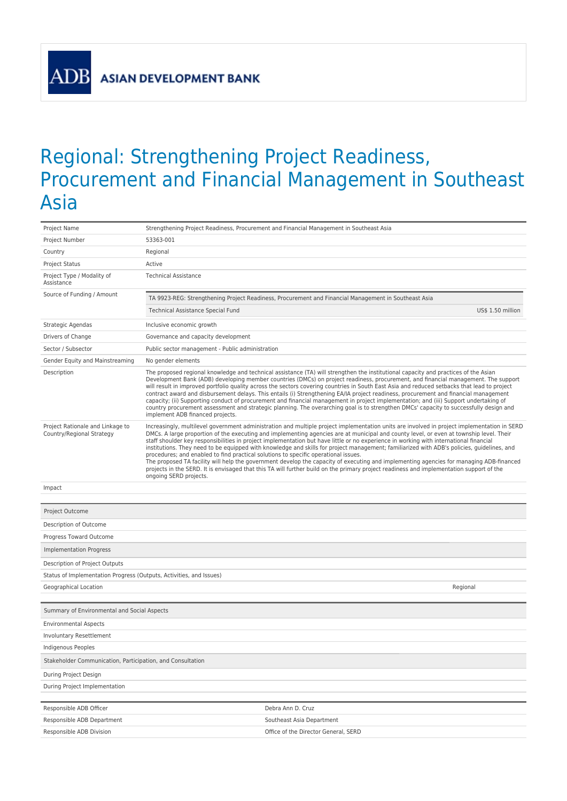**ASIAN DEVELOPMENT BANK** 

ADB

## Regional: Strengthening Project Readiness, Procurement and Financial Management in Southeast Asia

| Project Name                                                        | Strengthening Project Readiness, Procurement and Financial Management in Southeast Asia                       |                                                                                                                                                                                                                                                                                                                                                                                                                                                                                                                                                                                                                                                                                                                                                                                                                                                                       |
|---------------------------------------------------------------------|---------------------------------------------------------------------------------------------------------------|-----------------------------------------------------------------------------------------------------------------------------------------------------------------------------------------------------------------------------------------------------------------------------------------------------------------------------------------------------------------------------------------------------------------------------------------------------------------------------------------------------------------------------------------------------------------------------------------------------------------------------------------------------------------------------------------------------------------------------------------------------------------------------------------------------------------------------------------------------------------------|
| Project Number                                                      | 53363-001                                                                                                     |                                                                                                                                                                                                                                                                                                                                                                                                                                                                                                                                                                                                                                                                                                                                                                                                                                                                       |
| Country                                                             | Regional                                                                                                      |                                                                                                                                                                                                                                                                                                                                                                                                                                                                                                                                                                                                                                                                                                                                                                                                                                                                       |
| <b>Project Status</b>                                               | Active                                                                                                        |                                                                                                                                                                                                                                                                                                                                                                                                                                                                                                                                                                                                                                                                                                                                                                                                                                                                       |
| Project Type / Modality of<br>Assistance                            | <b>Technical Assistance</b>                                                                                   |                                                                                                                                                                                                                                                                                                                                                                                                                                                                                                                                                                                                                                                                                                                                                                                                                                                                       |
| Source of Funding / Amount                                          |                                                                                                               | TA 9923-REG: Strengthening Project Readiness, Procurement and Financial Management in Southeast Asia                                                                                                                                                                                                                                                                                                                                                                                                                                                                                                                                                                                                                                                                                                                                                                  |
|                                                                     | Technical Assistance Special Fund                                                                             | US\$ 1.50 million                                                                                                                                                                                                                                                                                                                                                                                                                                                                                                                                                                                                                                                                                                                                                                                                                                                     |
| Strategic Agendas                                                   | Inclusive economic growth                                                                                     |                                                                                                                                                                                                                                                                                                                                                                                                                                                                                                                                                                                                                                                                                                                                                                                                                                                                       |
| Drivers of Change                                                   | Governance and capacity development                                                                           |                                                                                                                                                                                                                                                                                                                                                                                                                                                                                                                                                                                                                                                                                                                                                                                                                                                                       |
| Sector / Subsector                                                  | Public sector management - Public administration                                                              |                                                                                                                                                                                                                                                                                                                                                                                                                                                                                                                                                                                                                                                                                                                                                                                                                                                                       |
| Gender Equity and Mainstreaming                                     | No gender elements                                                                                            |                                                                                                                                                                                                                                                                                                                                                                                                                                                                                                                                                                                                                                                                                                                                                                                                                                                                       |
| Description                                                         | implement ADB financed projects.                                                                              | The proposed regional knowledge and technical assistance (TA) will strengthen the institutional capacity and practices of the Asian<br>Development Bank (ADB) developing member countries (DMCs) on project readiness, procurement, and financial management. The support<br>will result in improved portfolio quality across the sectors covering countries in South East Asia and reduced setbacks that lead to project<br>contract award and disbursement delays. This entails (i) Strengthening EA/IA project readiness, procurement and financial management<br>capacity; (ii) Supporting conduct of procurement and financial management in project implementation; and (iii) Support undertaking of<br>country procurement assessment and strategic planning. The overarching goal is to strengthen DMCs' capacity to successfully design and                  |
| Project Rationale and Linkage to<br>Country/Regional Strategy       | procedures; and enabled to find practical solutions to specific operational issues.<br>ongoing SERD projects. | Increasingly, multilevel government administration and multiple project implementation units are involved in project implementation in SERD<br>DMCs. A large proportion of the executing and implementing agencies are at municipal and county level, or even at township level. Their<br>staff shoulder key responsibilities in project implementation but have little or no experience in working with international financial<br>institutions. They need to be equipped with knowledge and skills for project management; familiarized with ADB's policies, quidelines, and<br>The proposed TA facility will help the government develop the capacity of executing and implementing agencies for managing ADB-financed<br>projects in the SERD. It is envisaged that this TA will further build on the primary project readiness and implementation support of the |
| Impact                                                              |                                                                                                               |                                                                                                                                                                                                                                                                                                                                                                                                                                                                                                                                                                                                                                                                                                                                                                                                                                                                       |
| Project Outcome                                                     |                                                                                                               |                                                                                                                                                                                                                                                                                                                                                                                                                                                                                                                                                                                                                                                                                                                                                                                                                                                                       |
| Description of Outcome                                              |                                                                                                               |                                                                                                                                                                                                                                                                                                                                                                                                                                                                                                                                                                                                                                                                                                                                                                                                                                                                       |
| Progress Toward Outcome                                             |                                                                                                               |                                                                                                                                                                                                                                                                                                                                                                                                                                                                                                                                                                                                                                                                                                                                                                                                                                                                       |
| Implementation Progress                                             |                                                                                                               |                                                                                                                                                                                                                                                                                                                                                                                                                                                                                                                                                                                                                                                                                                                                                                                                                                                                       |
| Description of Project Outputs                                      |                                                                                                               |                                                                                                                                                                                                                                                                                                                                                                                                                                                                                                                                                                                                                                                                                                                                                                                                                                                                       |
| Status of Implementation Progress (Outputs, Activities, and Issues) |                                                                                                               |                                                                                                                                                                                                                                                                                                                                                                                                                                                                                                                                                                                                                                                                                                                                                                                                                                                                       |
| Geographical Location                                               |                                                                                                               | Regional                                                                                                                                                                                                                                                                                                                                                                                                                                                                                                                                                                                                                                                                                                                                                                                                                                                              |
|                                                                     |                                                                                                               |                                                                                                                                                                                                                                                                                                                                                                                                                                                                                                                                                                                                                                                                                                                                                                                                                                                                       |
| Summary of Environmental and Social Aspects                         |                                                                                                               |                                                                                                                                                                                                                                                                                                                                                                                                                                                                                                                                                                                                                                                                                                                                                                                                                                                                       |
| <b>Environmental Aspects</b>                                        |                                                                                                               |                                                                                                                                                                                                                                                                                                                                                                                                                                                                                                                                                                                                                                                                                                                                                                                                                                                                       |
| Involuntary Resettlement                                            |                                                                                                               |                                                                                                                                                                                                                                                                                                                                                                                                                                                                                                                                                                                                                                                                                                                                                                                                                                                                       |
| Indigenous Peoples                                                  |                                                                                                               |                                                                                                                                                                                                                                                                                                                                                                                                                                                                                                                                                                                                                                                                                                                                                                                                                                                                       |
| Stakeholder Communication, Participation, and Consultation          |                                                                                                               |                                                                                                                                                                                                                                                                                                                                                                                                                                                                                                                                                                                                                                                                                                                                                                                                                                                                       |
| During Project Design                                               |                                                                                                               |                                                                                                                                                                                                                                                                                                                                                                                                                                                                                                                                                                                                                                                                                                                                                                                                                                                                       |
| During Project Implementation                                       |                                                                                                               |                                                                                                                                                                                                                                                                                                                                                                                                                                                                                                                                                                                                                                                                                                                                                                                                                                                                       |
|                                                                     |                                                                                                               |                                                                                                                                                                                                                                                                                                                                                                                                                                                                                                                                                                                                                                                                                                                                                                                                                                                                       |
| Responsible ADB Officer                                             |                                                                                                               | Debra Ann D. Cruz                                                                                                                                                                                                                                                                                                                                                                                                                                                                                                                                                                                                                                                                                                                                                                                                                                                     |
| Responsible ADB Department<br>Responsible ADB Division              |                                                                                                               | Southeast Asia Department<br>Office of the Director General, SERD                                                                                                                                                                                                                                                                                                                                                                                                                                                                                                                                                                                                                                                                                                                                                                                                     |
|                                                                     |                                                                                                               |                                                                                                                                                                                                                                                                                                                                                                                                                                                                                                                                                                                                                                                                                                                                                                                                                                                                       |